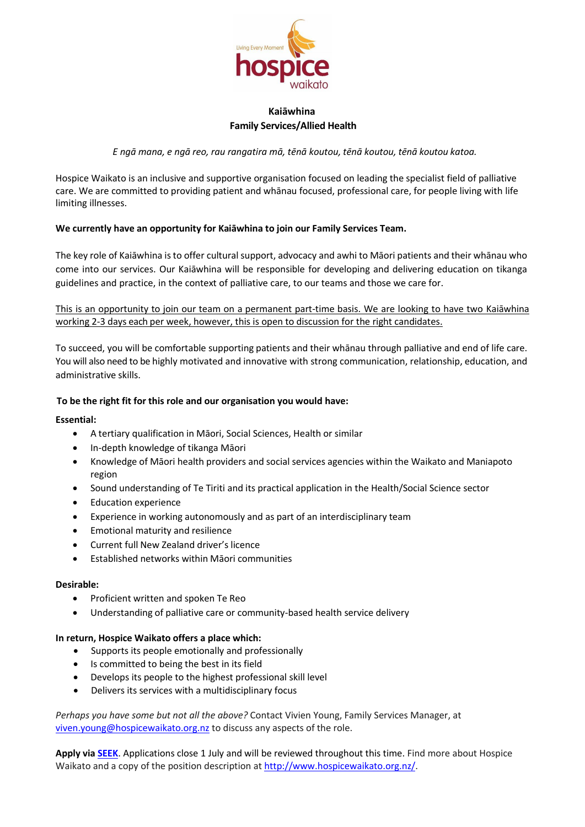

# **Kaiāwhina Family Services/Allied Health**

*E ngā mana, e ngā reo, rau rangatira mā, tēnā koutou, tēnā koutou, tēnā koutou katoa.*

Hospice Waikato is an inclusive and supportive organisation focused on leading the specialist field of palliative care. We are committed to providing patient and whānau focused, professional care, for people living with life limiting illnesses.

## **We currently have an opportunity for Kaiāwhina to join our Family Services Team.**

The key role of Kaiāwhina is to offer cultural support, advocacy and awhi to Māori patients and their whānau who come into our services. Our Kaiāwhina will be responsible for developing and delivering education on tikanga guidelines and practice, in the context of palliative care, to our teams and those we care for.

This is an opportunity to join our team on a permanent part-time basis. We are looking to have two Kaiāwhina working 2-3 days each per week, however, this is open to discussion for the right candidates.

To succeed, you will be comfortable supporting patients and their whānau through palliative and end of life care. You will also need to be highly motivated and innovative with strong communication, relationship, education, and administrative skills.

## **To be the right fit for this role and our organisation you would have:**

### **Essential:**

- A tertiary qualification in Māori, Social Sciences, Health or similar
- In-depth knowledge of tikanga Māori
- Knowledge of Māori health providers and social services agencies within the Waikato and Maniapoto region
- Sound understanding of Te Tiriti and its practical application in the Health/Social Science sector
- Education experience
- Experience in working autonomously and as part of an interdisciplinary team
- Emotional maturity and resilience
- Current full New Zealand driver's licence
- Established networks within Māori communities

### **Desirable:**

- Proficient written and spoken Te Reo
- Understanding of palliative care or community-based health service delivery

#### **In return, Hospice Waikato offers a place which:**

- Supports its people emotionally and professionally
- Is committed to being the best in its field
- Develops its people to the highest professional skill level
- Delivers its services with a multidisciplinary focus

*Perhaps you have some but not all the above?* Contact Vivien Young, Family Services Manager, at [viven.young@hospicewaikato.org.nz](mailto:viven.young@hospicewaikato.org.nz) to discuss any aspects of the role.

**Apply vi[a SEEK](https://www.seek.co.nz/job/57223900)**. Applications close 1 July and will be reviewed throughout this time. Find more about Hospice Waikato and a copy of the position description at [http://www.hospicewaikato.org.nz/.](http://www.hospicewaikato.org.nz/)